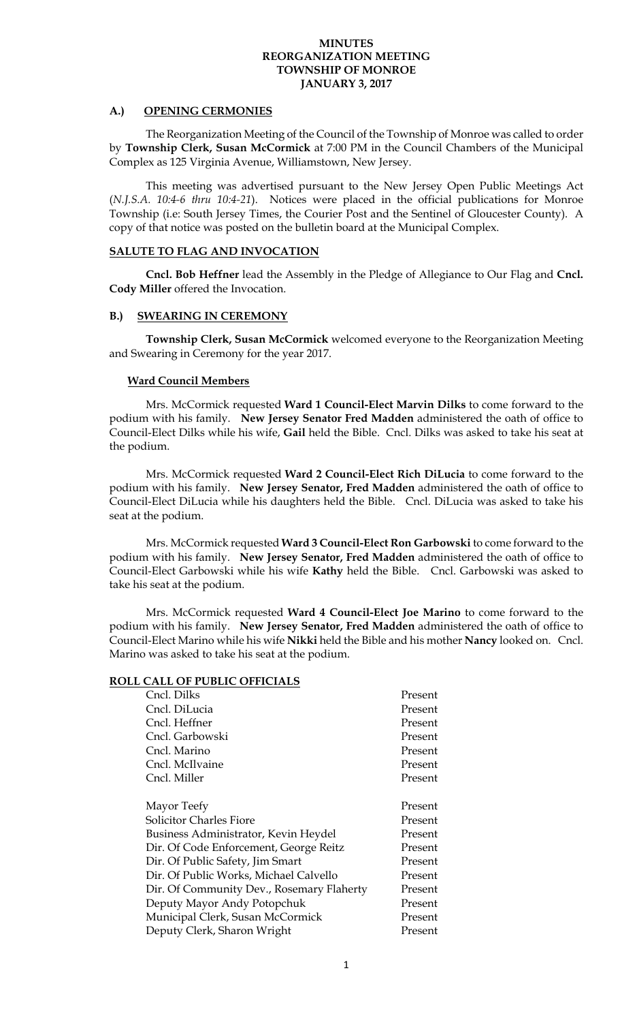#### **A.) OPENING CERMONIES**

The Reorganization Meeting of the Council of the Township of Monroe was called to order by **Township Clerk, Susan McCormick** at 7:00 PM in the Council Chambers of the Municipal Complex as 125 Virginia Avenue, Williamstown, New Jersey.

 This meeting was advertised pursuant to the New Jersey Open Public Meetings Act (*N.J.S.A. 10:4-6 thru 10:4-21*). Notices were placed in the official publications for Monroe Township (i.e: South Jersey Times, the Courier Post and the Sentinel of Gloucester County). A copy of that notice was posted on the bulletin board at the Municipal Complex.

#### **SALUTE TO FLAG AND INVOCATION**

**Cncl. Bob Heffner** lead the Assembly in the Pledge of Allegiance to Our Flag and **Cncl. Cody Miller** offered the Invocation.

## **B.) SWEARING IN CEREMONY**

**Township Clerk, Susan McCormick** welcomed everyone to the Reorganization Meeting and Swearing in Ceremony for the year 2017.

#### **Ward Council Members**

Mrs. McCormick requested **Ward 1 Council-Elect Marvin Dilks** to come forward to the podium with his family. **New Jersey Senator Fred Madden** administered the oath of office to Council-Elect Dilks while his wife, **Gail** held the Bible. Cncl. Dilks was asked to take his seat at the podium.

Mrs. McCormick requested **Ward 2 Council-Elect Rich DiLucia** to come forward to the podium with his family. **New Jersey Senator, Fred Madden** administered the oath of office to Council-Elect DiLucia while his daughters held the Bible. Cncl. DiLucia was asked to take his seat at the podium.

Mrs. McCormick requested **Ward 3 Council-Elect Ron Garbowski** to come forward to the podium with his family. **New Jersey Senator, Fred Madden** administered the oath of office to Council-Elect Garbowski while his wife **Kathy** held the Bible. Cncl. Garbowski was asked to take his seat at the podium.

Mrs. McCormick requested **Ward 4 Council-Elect Joe Marino** to come forward to the podium with his family. **New Jersey Senator, Fred Madden** administered the oath of office to Council-Elect Marino while his wife **Nikki** held the Bible and his mother **Nancy** looked on. Cncl. Marino was asked to take his seat at the podium.

#### **ROLL CALL OF PUBLIC OFFICIALS**

| Cncl. Dilks                               | Present |
|-------------------------------------------|---------|
| Cncl. DiLucia                             | Present |
| Cncl. Heffner                             | Present |
| Cncl. Garbowski                           | Present |
| Cncl. Marino                              | Present |
| Cncl. McIlvaine                           | Present |
| Cncl. Miller                              | Present |
|                                           |         |
| Mayor Teefy                               | Present |
| <b>Solicitor Charles Fiore</b>            | Present |
| Business Administrator, Kevin Heydel      | Present |
| Dir. Of Code Enforcement, George Reitz    | Present |
| Dir. Of Public Safety, Jim Smart          | Present |
| Dir. Of Public Works, Michael Calvello    | Present |
| Dir. Of Community Dev., Rosemary Flaherty | Present |
| Deputy Mayor Andy Potopchuk               | Present |
| Municipal Clerk, Susan McCormick          | Present |
| Deputy Clerk, Sharon Wright               | Present |
|                                           |         |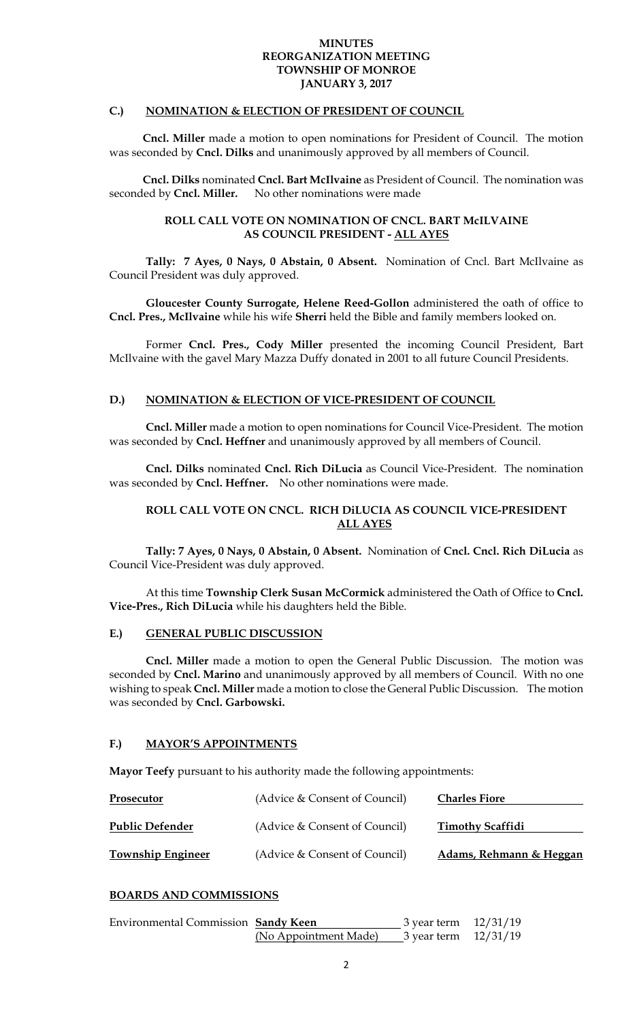#### **C.) NOMINATION & ELECTION OF PRESIDENT OF COUNCIL**

 **Cncl. Miller** made a motion to open nominations for President of Council. The motion was seconded by **Cncl. Dilks** and unanimously approved by all members of Council.

 **Cncl. Dilks** nominated **Cncl. Bart McIlvaine** as President of Council. The nomination was seconded by **Cncl. Miller.** No other nominations were made

### **ROLL CALL VOTE ON NOMINATION OF CNCL. BART McILVAINE AS COUNCIL PRESIDENT - ALL AYES**

**Tally: 7 Ayes, 0 Nays, 0 Abstain, 0 Absent.** Nomination of Cncl. Bart McIlvaine as Council President was duly approved.

**Gloucester County Surrogate, Helene Reed-Gollon** administered the oath of office to **Cncl. Pres., McIlvaine** while his wife **Sherri** held the Bible and family members looked on.

 Former **Cncl. Pres., Cody Miller** presented the incoming Council President, Bart McIlvaine with the gavel Mary Mazza Duffy donated in 2001 to all future Council Presidents.

## **D.) NOMINATION & ELECTION OF VICE-PRESIDENT OF COUNCIL**

**Cncl. Miller** made a motion to open nominations for Council Vice-President. The motion was seconded by **Cncl. Heffner** and unanimously approved by all members of Council.

**Cncl. Dilks** nominated **Cncl. Rich DiLucia** as Council Vice-President. The nomination was seconded by **Cncl. Heffner.** No other nominations were made.

## **ROLL CALL VOTE ON CNCL. RICH DiLUCIA AS COUNCIL VICE-PRESIDENT ALL AYES**

**Tally: 7 Ayes, 0 Nays, 0 Abstain, 0 Absent.** Nomination of **Cncl. Cncl. Rich DiLucia** as Council Vice-President was duly approved.

At this time **Township Clerk Susan McCormick** administered the Oath of Office to **Cncl. Vice-Pres., Rich DiLucia** while his daughters held the Bible.

#### **E.) GENERAL PUBLIC DISCUSSION**

 **Cncl. Miller** made a motion to open the General Public Discussion. The motion was seconded by **Cncl. Marino** and unanimously approved by all members of Council. With no one wishing to speak **Cncl. Miller** made a motion to close the General Public Discussion. The motion was seconded by **Cncl. Garbowski.** 

## **F.) MAYOR'S APPOINTMENTS**

**Mayor Teefy** pursuant to his authority made the following appointments:

| Prosecutor               | (Advice & Consent of Council) | <b>Charles Fiore</b>    |
|--------------------------|-------------------------------|-------------------------|
| <b>Public Defender</b>   | (Advice & Consent of Council) | <b>Timothy Scaffidi</b> |
| <b>Township Engineer</b> | (Advice & Consent of Council) | Adams, Rehmann & Heggan |

## **BOARDS AND COMMISSIONS**

| Environmental Commission Sandy Keen |                       | 3 year term $12/31/19$   |  |
|-------------------------------------|-----------------------|--------------------------|--|
|                                     | (No Appointment Made) | $3$ year term $12/31/19$ |  |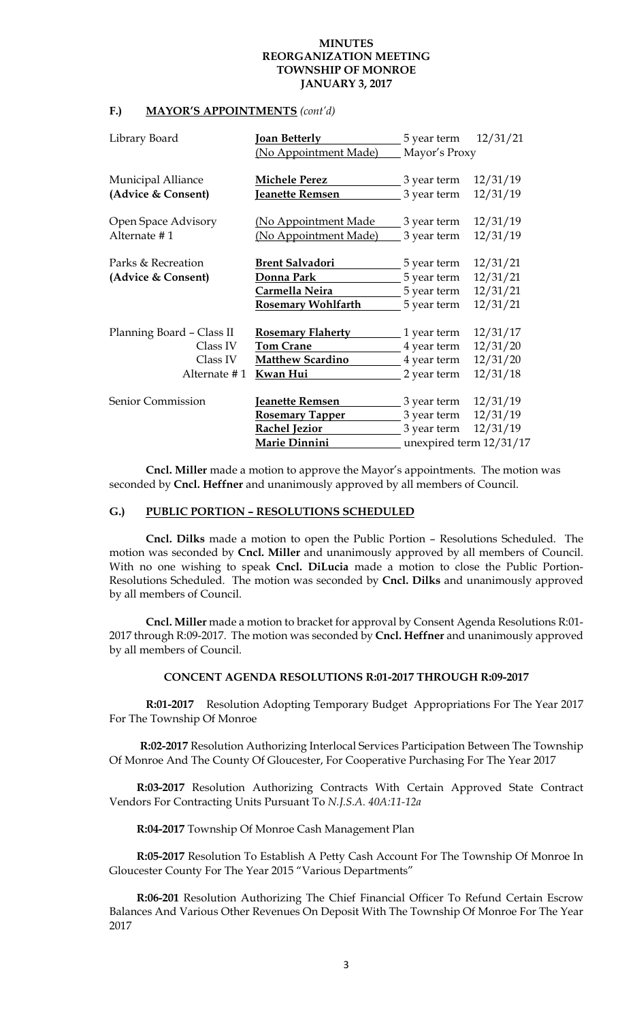### **F.) MAYOR'S APPOINTMENTS** *(cont'd)*

| Library Board             | <b>Joan Betterly</b>        | 5 year term   | 12/31/21                |
|---------------------------|-----------------------------|---------------|-------------------------|
|                           | (No Appointment Made)       | Mayor's Proxy |                         |
| <b>Municipal Alliance</b> | <b>Michele Perez</b>        | 3 year term   | 12/31/19                |
| (Advice & Consent)        | Jeanette Remsen             | 3 year term   | 12/31/19                |
| Open Space Advisory       | <u>(No Appointment Made</u> | 3 year term   | 12/31/19                |
| Alternate #1              | (No Appointment Made)       | 3 year term   | 12/31/19                |
| Parks & Recreation        | <b>Brent Salvadori</b>      | 5 year term   | 12/31/21                |
| (Advice & Consent)        | Donna Park                  | 5 year term   | 12/31/21                |
|                           | Carmella Neira              | 5 year term   | 12/31/21                |
|                           | <b>Rosemary Wohlfarth</b>   | 5 year term   | 12/31/21                |
| Planning Board - Class II | <b>Rosemary Flaherty</b>    | 1 year term   | 12/31/17                |
| Class IV                  | <b>Tom Crane</b>            | 4 year term   | 12/31/20                |
| Class IV                  | <b>Matthew Scardino</b>     | 4 year term   | 12/31/20                |
| Alternate #1              | Kwan Hui                    | 2 year term   | 12/31/18                |
| Senior Commission         | Jeanette Remsen             | 3 year term   | 12/31/19                |
|                           | <b>Rosemary Tapper</b>      | 3 year term   | 12/31/19                |
|                           | <b>Rachel Jezior</b>        | 3 year term   | 12/31/19                |
|                           | Marie Dinnini               |               | unexpired term 12/31/17 |

**Cncl. Miller** made a motion to approve the Mayor's appointments. The motion was seconded by **Cncl. Heffner** and unanimously approved by all members of Council.

## **G.) PUBLIC PORTION – RESOLUTIONS SCHEDULED**

 **Cncl. Dilks** made a motion to open the Public Portion – Resolutions Scheduled. The motion was seconded by **Cncl. Miller** and unanimously approved by all members of Council. With no one wishing to speak **Cncl. DiLucia** made a motion to close the Public Portion-Resolutions Scheduled. The motion was seconded by **Cncl. Dilks** and unanimously approved by all members of Council.

**Cncl. Miller** made a motion to bracket for approval by Consent Agenda Resolutions R:01- 2017 through R:09-2017. The motion was seconded by **Cncl. Heffner** and unanimously approved by all members of Council.

## **CONCENT AGENDA RESOLUTIONS R:01-2017 THROUGH R:09-2017**

 **R:01-2017** Resolution Adopting Temporary Budget Appropriations For The Year 2017 For The Township Of Monroe

 **R:02-2017** Resolution Authorizing Interlocal Services Participation Between The Township Of Monroe And The County Of Gloucester, For Cooperative Purchasing For The Year 2017

**R:03-2017** Resolution Authorizing Contracts With Certain Approved State Contract Vendors For Contracting Units Pursuant To *N.J.S.A. 40A:11-12a* 

**R:04-2017** Township Of Monroe Cash Management Plan

**R:05-2017** Resolution To Establish A Petty Cash Account For The Township Of Monroe In Gloucester County For The Year 2015 "Various Departments"

**R:06-201** Resolution Authorizing The Chief Financial Officer To Refund Certain Escrow Balances And Various Other Revenues On Deposit With The Township Of Monroe For The Year 2017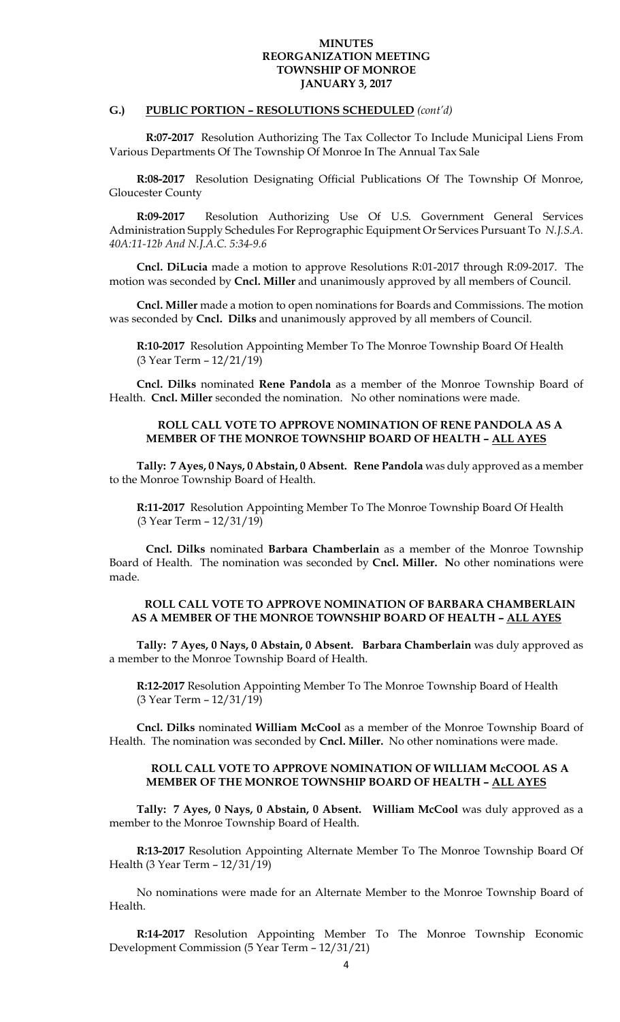## **G.) PUBLIC PORTION – RESOLUTIONS SCHEDULED** *(cont'd)*

 **R:07-2017** Resolution Authorizing The Tax Collector To Include Municipal Liens From Various Departments Of The Township Of Monroe In The Annual Tax Sale

**R:08-2017** Resolution Designating Official Publications Of The Township Of Monroe, Gloucester County

**R:09-2017** Resolution Authorizing Use Of U.S. Government General Services Administration Supply Schedules For Reprographic Equipment Or Services Pursuant To *N.J.S.A. 40A:11-12b And N.J.A.C. 5:34-9.6* 

**Cncl. DiLucia** made a motion to approve Resolutions R:01-2017 through R:09-2017. The motion was seconded by **Cncl. Miller** and unanimously approved by all members of Council.

**Cncl. Miller** made a motion to open nominations for Boards and Commissions. The motion was seconded by **Cncl. Dilks** and unanimously approved by all members of Council.

**R:10-2017** Resolution Appointing Member To The Monroe Township Board Of Health (3 Year Term – 12/21/19)

**Cncl. Dilks** nominated **Rene Pandola** as a member of the Monroe Township Board of Health. **Cncl. Miller** seconded the nomination. No other nominations were made.

## **ROLL CALL VOTE TO APPROVE NOMINATION OF RENE PANDOLA AS A MEMBER OF THE MONROE TOWNSHIP BOARD OF HEALTH – ALL AYES**

**Tally: 7 Ayes, 0 Nays, 0 Abstain, 0 Absent. Rene Pandola** was duly approved as a member to the Monroe Township Board of Health.

**R:11-2017** Resolution Appointing Member To The Monroe Township Board Of Health (3 Year Term – 12/31/19)

**Cncl. Dilks** nominated **Barbara Chamberlain** as a member of the Monroe Township Board of Health. The nomination was seconded by **Cncl. Miller. N**o other nominations were made.

#### **ROLL CALL VOTE TO APPROVE NOMINATION OF BARBARA CHAMBERLAIN AS A MEMBER OF THE MONROE TOWNSHIP BOARD OF HEALTH – ALL AYES**

**Tally: 7 Ayes, 0 Nays, 0 Abstain, 0 Absent. Barbara Chamberlain** was duly approved as a member to the Monroe Township Board of Health.

**R:12-2017** Resolution Appointing Member To The Monroe Township Board of Health (3 Year Term – 12/31/19)

**Cncl. Dilks** nominated **William McCool** as a member of the Monroe Township Board of Health. The nomination was seconded by **Cncl. Miller.** No other nominations were made.

## **ROLL CALL VOTE TO APPROVE NOMINATION OF WILLIAM McCOOL AS A MEMBER OF THE MONROE TOWNSHIP BOARD OF HEALTH – ALL AYES**

**Tally: 7 Ayes, 0 Nays, 0 Abstain, 0 Absent. William McCool** was duly approved as a member to the Monroe Township Board of Health.

**R:13-2017** Resolution Appointing Alternate Member To The Monroe Township Board Of Health (3 Year Term – 12/31/19)

No nominations were made for an Alternate Member to the Monroe Township Board of Health.

**R:14-2017** Resolution Appointing Member To The Monroe Township Economic Development Commission (5 Year Term – 12/31/21)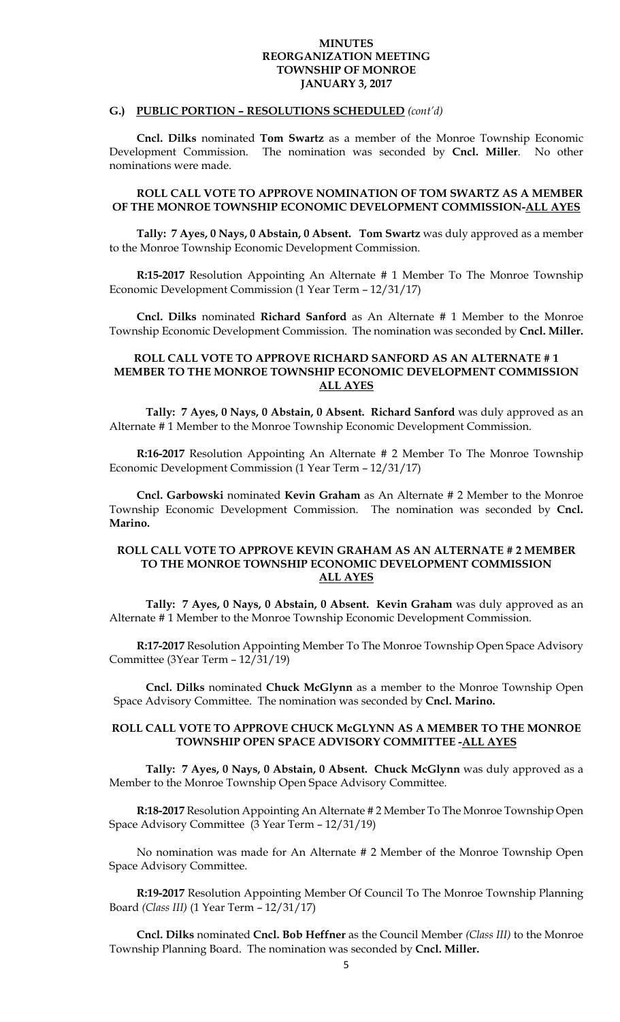#### **G.) PUBLIC PORTION – RESOLUTIONS SCHEDULED** *(cont'd)*

**Cncl. Dilks** nominated **Tom Swartz** as a member of the Monroe Township Economic Development Commission. The nomination was seconded by **Cncl. Miller**. No other nominations were made.

## **ROLL CALL VOTE TO APPROVE NOMINATION OF TOM SWARTZ AS A MEMBER OF THE MONROE TOWNSHIP ECONOMIC DEVELOPMENT COMMISSION-ALL AYES**

**Tally: 7 Ayes, 0 Nays, 0 Abstain, 0 Absent. Tom Swartz** was duly approved as a member to the Monroe Township Economic Development Commission.

**R:15-2017** Resolution Appointing An Alternate # 1 Member To The Monroe Township Economic Development Commission (1 Year Term – 12/31/17)

**Cncl. Dilks** nominated **Richard Sanford** as An Alternate # 1 Member to the Monroe Township Economic Development Commission. The nomination was seconded by **Cncl. Miller.** 

## **ROLL CALL VOTE TO APPROVE RICHARD SANFORD AS AN ALTERNATE # 1 MEMBER TO THE MONROE TOWNSHIP ECONOMIC DEVELOPMENT COMMISSION ALL AYES**

 **Tally: 7 Ayes, 0 Nays, 0 Abstain, 0 Absent. Richard Sanford** was duly approved as an Alternate # 1 Member to the Monroe Township Economic Development Commission.

**R:16-2017** Resolution Appointing An Alternate # 2 Member To The Monroe Township Economic Development Commission (1 Year Term – 12/31/17)

**Cncl. Garbowski** nominated **Kevin Graham** as An Alternate # 2 Member to the Monroe Township Economic Development Commission. The nomination was seconded by **Cncl. Marino.** 

## **ROLL CALL VOTE TO APPROVE KEVIN GRAHAM AS AN ALTERNATE # 2 MEMBER TO THE MONROE TOWNSHIP ECONOMIC DEVELOPMENT COMMISSION ALL AYES**

 **Tally: 7 Ayes, 0 Nays, 0 Abstain, 0 Absent. Kevin Graham** was duly approved as an Alternate # 1 Member to the Monroe Township Economic Development Commission.

**R:17-2017** Resolution Appointing Member To The Monroe Township Open Space Advisory Committee (3Year Term – 12/31/19)

**Cncl. Dilks** nominated **Chuck McGlynn** as a member to the Monroe Township Open Space Advisory Committee. The nomination was seconded by **Cncl. Marino.** 

## **ROLL CALL VOTE TO APPROVE CHUCK McGLYNN AS A MEMBER TO THE MONROE TOWNSHIP OPEN SPACE ADVISORY COMMITTEE -ALL AYES**

 **Tally: 7 Ayes, 0 Nays, 0 Abstain, 0 Absent. Chuck McGlynn** was duly approved as a Member to the Monroe Township Open Space Advisory Committee.

**R:18-2017** Resolution Appointing An Alternate # 2 Member To The Monroe Township Open Space Advisory Committee (3 Year Term – 12/31/19)

No nomination was made for An Alternate # 2 Member of the Monroe Township Open Space Advisory Committee.

**R:19-2017** Resolution Appointing Member Of Council To The Monroe Township Planning Board *(Class III)* (1 Year Term – 12/31/17)

**Cncl. Dilks** nominated **Cncl. Bob Heffner** as the Council Member *(Class III)* to the Monroe Township Planning Board. The nomination was seconded by **Cncl. Miller.**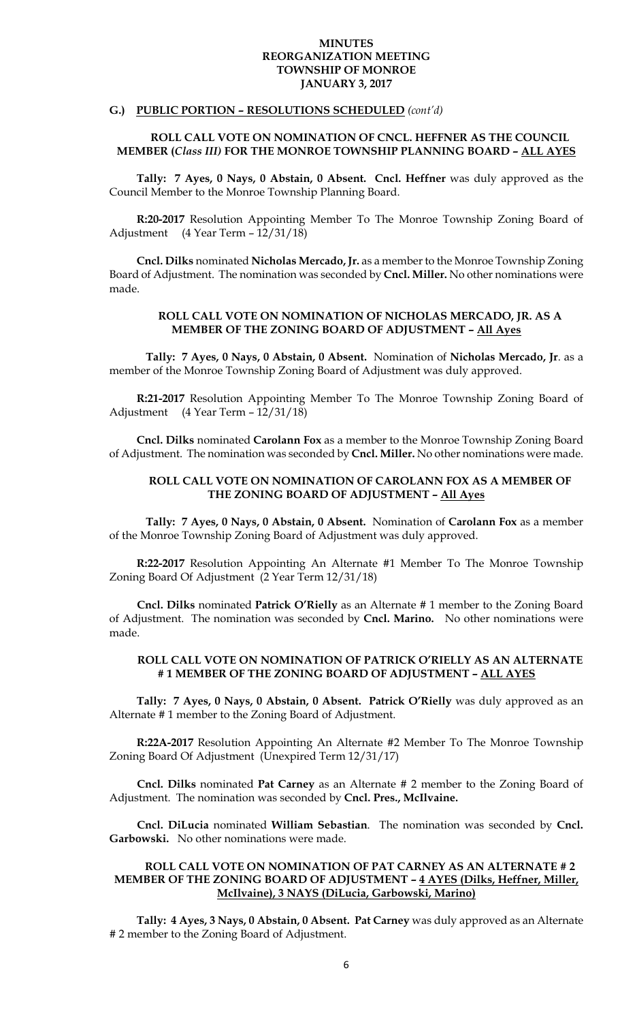## **G.) PUBLIC PORTION – RESOLUTIONS SCHEDULED** *(cont'd)*

## **ROLL CALL VOTE ON NOMINATION OF CNCL. HEFFNER AS THE COUNCIL MEMBER (***Class III)* **FOR THE MONROE TOWNSHIP PLANNING BOARD – ALL AYES**

**Tally: 7 Ayes, 0 Nays, 0 Abstain, 0 Absent. Cncl. Heffner** was duly approved as the Council Member to the Monroe Township Planning Board.

**R:20-2017** Resolution Appointing Member To The Monroe Township Zoning Board of Adjustment (4 Year Term – 12/31/18)

**Cncl. Dilks** nominated **Nicholas Mercado, Jr.** as a member to the Monroe Township Zoning Board of Adjustment. The nomination was seconded by **Cncl. Miller.** No other nominations were made.

#### **ROLL CALL VOTE ON NOMINATION OF NICHOLAS MERCADO, JR. AS A MEMBER OF THE ZONING BOARD OF ADJUSTMENT – All Ayes**

 **Tally: 7 Ayes, 0 Nays, 0 Abstain, 0 Absent.** Nomination of **Nicholas Mercado, Jr**. as a member of the Monroe Township Zoning Board of Adjustment was duly approved.

**R:21-2017** Resolution Appointing Member To The Monroe Township Zoning Board of Adjustment (4 Year Term – 12/31/18)

**Cncl. Dilks** nominated **Carolann Fox** as a member to the Monroe Township Zoning Board of Adjustment. The nomination was seconded by **Cncl. Miller.** No other nominations were made.

## **ROLL CALL VOTE ON NOMINATION OF CAROLANN FOX AS A MEMBER OF THE ZONING BOARD OF ADJUSTMENT – All Ayes**

 **Tally: 7 Ayes, 0 Nays, 0 Abstain, 0 Absent.** Nomination of **Carolann Fox** as a member of the Monroe Township Zoning Board of Adjustment was duly approved.

**R:22-2017** Resolution Appointing An Alternate #1 Member To The Monroe Township Zoning Board Of Adjustment (2 Year Term 12/31/18)

**Cncl. Dilks** nominated **Patrick O'Rielly** as an Alternate # 1 member to the Zoning Board of Adjustment. The nomination was seconded by **Cncl. Marino.** No other nominations were made.

## **ROLL CALL VOTE ON NOMINATION OF PATRICK O'RIELLY AS AN ALTERNATE # 1 MEMBER OF THE ZONING BOARD OF ADJUSTMENT – ALL AYES**

**Tally: 7 Ayes, 0 Nays, 0 Abstain, 0 Absent. Patrick O'Rielly** was duly approved as an Alternate # 1 member to the Zoning Board of Adjustment.

**R:22A-2017** Resolution Appointing An Alternate #2 Member To The Monroe Township Zoning Board Of Adjustment (Unexpired Term 12/31/17)

**Cncl. Dilks** nominated **Pat Carney** as an Alternate # 2 member to the Zoning Board of Adjustment. The nomination was seconded by **Cncl. Pres., McIlvaine.** 

**Cncl. DiLucia** nominated **William Sebastian**. The nomination was seconded by **Cncl. Garbowski.** No other nominations were made.

## **ROLL CALL VOTE ON NOMINATION OF PAT CARNEY AS AN ALTERNATE # 2 MEMBER OF THE ZONING BOARD OF ADJUSTMENT – 4 AYES (Dilks, Heffner, Miller, McIlvaine), 3 NAYS (DiLucia, Garbowski, Marino)**

**Tally: 4 Ayes, 3 Nays, 0 Abstain, 0 Absent. Pat Carney** was duly approved as an Alternate # 2 member to the Zoning Board of Adjustment.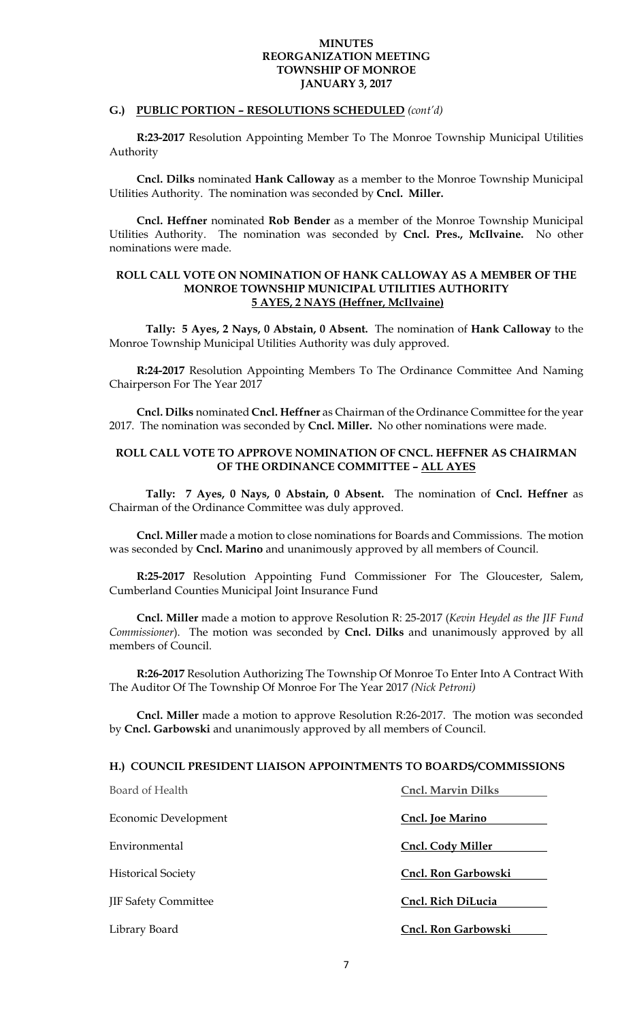## **G.) PUBLIC PORTION – RESOLUTIONS SCHEDULED** *(cont'd)*

**R:23-2017** Resolution Appointing Member To The Monroe Township Municipal Utilities Authority

**Cncl. Dilks** nominated **Hank Calloway** as a member to the Monroe Township Municipal Utilities Authority. The nomination was seconded by **Cncl. Miller.** 

**Cncl. Heffner** nominated **Rob Bender** as a member of the Monroe Township Municipal Utilities Authority. The nomination was seconded by **Cncl. Pres., McIlvaine.** No other nominations were made.

### **ROLL CALL VOTE ON NOMINATION OF HANK CALLOWAY AS A MEMBER OF THE MONROE TOWNSHIP MUNICIPAL UTILITIES AUTHORITY 5 AYES, 2 NAYS (Heffner, McIlvaine)**

 **Tally: 5 Ayes, 2 Nays, 0 Abstain, 0 Absent.** The nomination of **Hank Calloway** to the Monroe Township Municipal Utilities Authority was duly approved.

**R:24-2017** Resolution Appointing Members To The Ordinance Committee And Naming Chairperson For The Year 2017

**Cncl. Dilks** nominated **Cncl. Heffner** as Chairman of the Ordinance Committee for the year 2017. The nomination was seconded by **Cncl. Miller.** No other nominations were made.

## **ROLL CALL VOTE TO APPROVE NOMINATION OF CNCL. HEFFNER AS CHAIRMAN OF THE ORDINANCE COMMITTEE – ALL AYES**

 **Tally: 7 Ayes, 0 Nays, 0 Abstain, 0 Absent.** The nomination of **Cncl. Heffner** as Chairman of the Ordinance Committee was duly approved.

**Cncl. Miller** made a motion to close nominations for Boards and Commissions. The motion was seconded by **Cncl. Marino** and unanimously approved by all members of Council.

**R:25-2017** Resolution Appointing Fund Commissioner For The Gloucester, Salem, Cumberland Counties Municipal Joint Insurance Fund

**Cncl. Miller** made a motion to approve Resolution R: 25-2017 (*Kevin Heydel as the JIF Fund Commissioner*). The motion was seconded by **Cncl. Dilks** and unanimously approved by all members of Council.

**R:26-2017** Resolution Authorizing The Township Of Monroe To Enter Into A Contract With The Auditor Of The Township Of Monroe For The Year 2017 *(Nick Petroni)* 

**Cncl. Miller** made a motion to approve Resolution R:26-2017. The motion was seconded by **Cncl. Garbowski** and unanimously approved by all members of Council.

#### **H.) COUNCIL PRESIDENT LIAISON APPOINTMENTS TO BOARDS/COMMISSIONS**

| Board of Health             | <b>Cncl. Marvin Dilks</b> |
|-----------------------------|---------------------------|
| Economic Development        | Cncl. Joe Marino          |
| Environmental               | Cncl. Cody Miller         |
| <b>Historical Society</b>   | Cncl. Ron Garbowski       |
| <b>JIF Safety Committee</b> | Cncl. Rich DiLucia        |
| Library Board               | Cncl. Ron Garbowski       |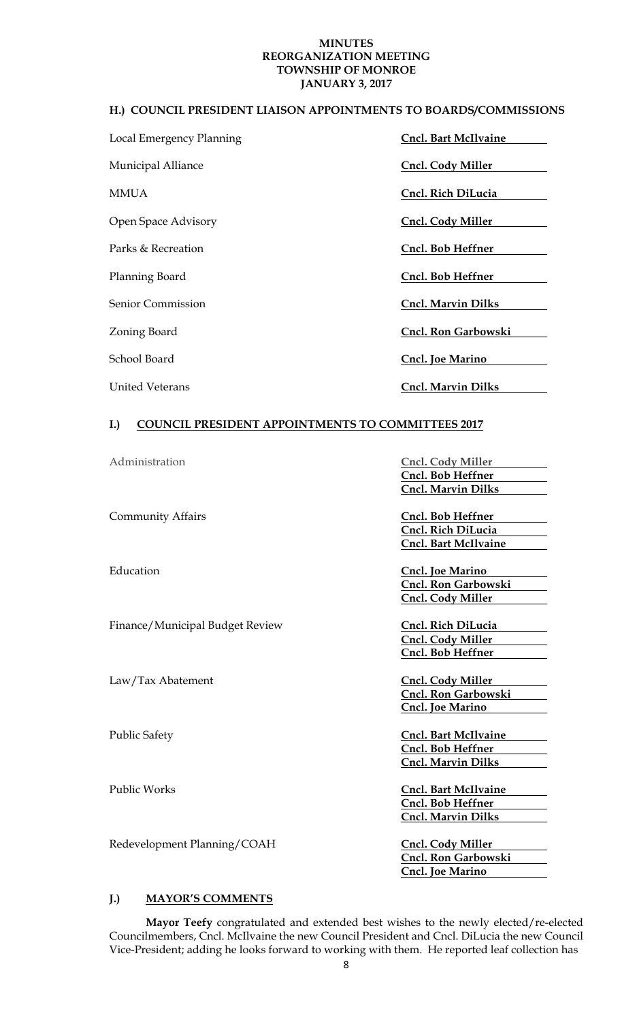## **H.) COUNCIL PRESIDENT LIAISON APPOINTMENTS TO BOARDS/COMMISSIONS**

| Local Emergency Planning | <b>Cncl. Bart McIlvaine</b> |
|--------------------------|-----------------------------|
| Municipal Alliance       | <b>Cncl. Cody Miller</b>    |
| <b>MMUA</b>              | Cncl. Rich DiLucia          |
| Open Space Advisory      | <b>Cncl. Cody Miller</b>    |
| Parks & Recreation       | Cncl. Bob Heffner           |
| Planning Board           | Cncl. Bob Heffner           |
| Senior Commission        | <b>Cncl. Marvin Dilks</b>   |
| Zoning Board             | Cncl. Ron Garbowski         |
| School Board             | Cncl. Joe Marino            |
| United Veterans          | <b>Cncl. Marvin Dilks</b>   |

# **I.) COUNCIL PRESIDENT APPOINTMENTS TO COMMITTEES 2017**

| Administration                  | <b>Cncl. Cody Miller</b>    |
|---------------------------------|-----------------------------|
|                                 | Cncl. Bob Heffner           |
|                                 | <b>Cncl. Marvin Dilks</b>   |
|                                 |                             |
| <b>Community Affairs</b>        | Cncl. Bob Heffner           |
|                                 | Cncl. Rich DiLucia          |
|                                 | <b>Cncl. Bart McIlvaine</b> |
|                                 |                             |
| Education                       | <b>Cncl. Joe Marino</b>     |
|                                 | Cncl. Ron Garbowski         |
|                                 | <b>Cncl. Cody Miller</b>    |
|                                 |                             |
| Finance/Municipal Budget Review | Cncl. Rich DiLucia          |
|                                 | <b>Cncl. Cody Miller</b>    |
|                                 | Cncl. Bob Heffner           |
|                                 |                             |
| Law/Tax Abatement               | <b>Cncl. Cody Miller</b>    |
|                                 | Cncl. Ron Garbowski         |
|                                 | <b>Cncl. Joe Marino</b>     |
| <b>Public Safety</b>            | <b>Cncl. Bart McIlvaine</b> |
|                                 | Cncl. Bob Heffner           |
|                                 | <b>Cncl. Marvin Dilks</b>   |
|                                 |                             |
| <b>Public Works</b>             | <b>Cncl. Bart McIlvaine</b> |
|                                 | Cncl. Bob Heffner           |
|                                 | <b>Cncl. Marvin Dilks</b>   |
|                                 |                             |
| Redevelopment Planning/COAH     | <b>Cncl. Cody Miller</b>    |
|                                 | Cncl. Ron Garbowski         |
|                                 | <b>Cncl. Joe Marino</b>     |
|                                 |                             |

## **J.) MAYOR'S COMMENTS**

**Mayor Teefy** congratulated and extended best wishes to the newly elected/re-elected Councilmembers, Cncl. McIlvaine the new Council President and Cncl. DiLucia the new Council Vice-President; adding he looks forward to working with them. He reported leaf collection has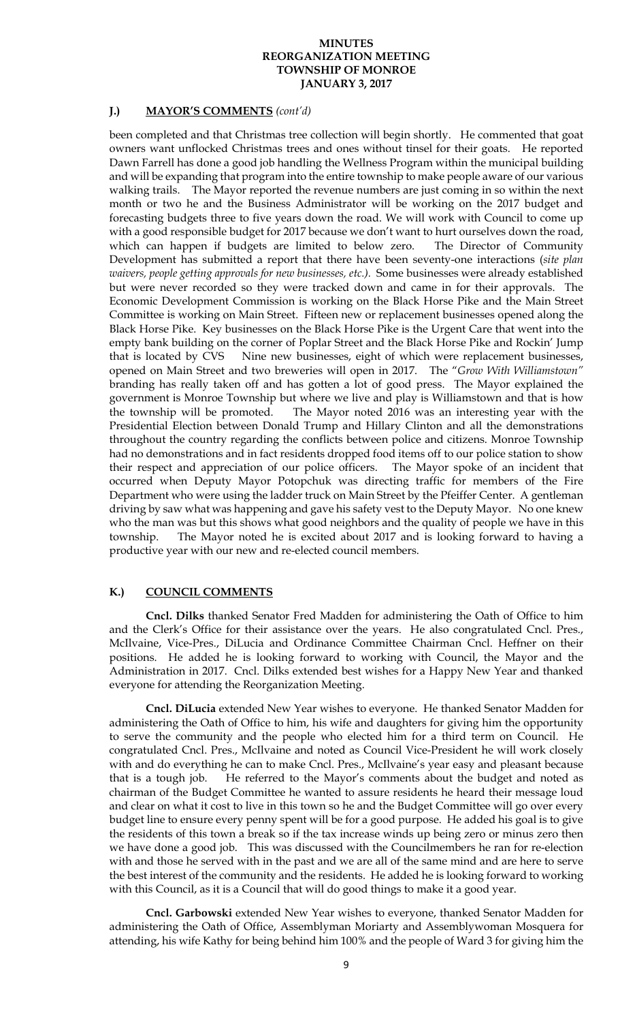### **J.) MAYOR'S COMMENTS** *(cont'd)*

been completed and that Christmas tree collection will begin shortly. He commented that goat owners want unflocked Christmas trees and ones without tinsel for their goats. He reported Dawn Farrell has done a good job handling the Wellness Program within the municipal building and will be expanding that program into the entire township to make people aware of our various walking trails. The Mayor reported the revenue numbers are just coming in so within the next month or two he and the Business Administrator will be working on the 2017 budget and forecasting budgets three to five years down the road. We will work with Council to come up with a good responsible budget for 2017 because we don't want to hurt ourselves down the road, which can happen if budgets are limited to below zero. The Director of Community Development has submitted a report that there have been seventy-one interactions (*site plan waivers, people getting approvals for new businesses, etc.).* Some businesses were already established but were never recorded so they were tracked down and came in for their approvals. The Economic Development Commission is working on the Black Horse Pike and the Main Street Committee is working on Main Street. Fifteen new or replacement businesses opened along the Black Horse Pike. Key businesses on the Black Horse Pike is the Urgent Care that went into the empty bank building on the corner of Poplar Street and the Black Horse Pike and Rockin' Jump that is located by CVS Nine new businesses, eight of which were replacement businesses, opened on Main Street and two breweries will open in 2017. The "*Grow With Williamstown"*  branding has really taken off and has gotten a lot of good press. The Mayor explained the government is Monroe Township but where we live and play is Williamstown and that is how the township will be promoted. The Mayor noted 2016 was an interesting year with the Presidential Election between Donald Trump and Hillary Clinton and all the demonstrations throughout the country regarding the conflicts between police and citizens. Monroe Township had no demonstrations and in fact residents dropped food items off to our police station to show their respect and appreciation of our police officers. The Mayor spoke of an incident that occurred when Deputy Mayor Potopchuk was directing traffic for members of the Fire Department who were using the ladder truck on Main Street by the Pfeiffer Center. A gentleman driving by saw what was happening and gave his safety vest to the Deputy Mayor. No one knew who the man was but this shows what good neighbors and the quality of people we have in this township. The Mayor noted he is excited about 2017 and is looking forward to having a productive year with our new and re-elected council members.

## **K.) COUNCIL COMMENTS**

**Cncl. Dilks** thanked Senator Fred Madden for administering the Oath of Office to him and the Clerk's Office for their assistance over the years. He also congratulated Cncl. Pres., McIlvaine, Vice-Pres., DiLucia and Ordinance Committee Chairman Cncl. Heffner on their positions. He added he is looking forward to working with Council, the Mayor and the Administration in 2017. Cncl. Dilks extended best wishes for a Happy New Year and thanked everyone for attending the Reorganization Meeting.

**Cncl. DiLucia** extended New Year wishes to everyone. He thanked Senator Madden for administering the Oath of Office to him, his wife and daughters for giving him the opportunity to serve the community and the people who elected him for a third term on Council. He congratulated Cncl. Pres., McIlvaine and noted as Council Vice-President he will work closely with and do everything he can to make Cncl. Pres., McIlvaine's year easy and pleasant because that is a tough job. He referred to the Mayor's comments about the budget and noted as chairman of the Budget Committee he wanted to assure residents he heard their message loud and clear on what it cost to live in this town so he and the Budget Committee will go over every budget line to ensure every penny spent will be for a good purpose. He added his goal is to give the residents of this town a break so if the tax increase winds up being zero or minus zero then we have done a good job. This was discussed with the Councilmembers he ran for re-election with and those he served with in the past and we are all of the same mind and are here to serve the best interest of the community and the residents. He added he is looking forward to working with this Council, as it is a Council that will do good things to make it a good year.

**Cncl. Garbowski** extended New Year wishes to everyone, thanked Senator Madden for administering the Oath of Office, Assemblyman Moriarty and Assemblywoman Mosquera for attending, his wife Kathy for being behind him 100% and the people of Ward 3 for giving him the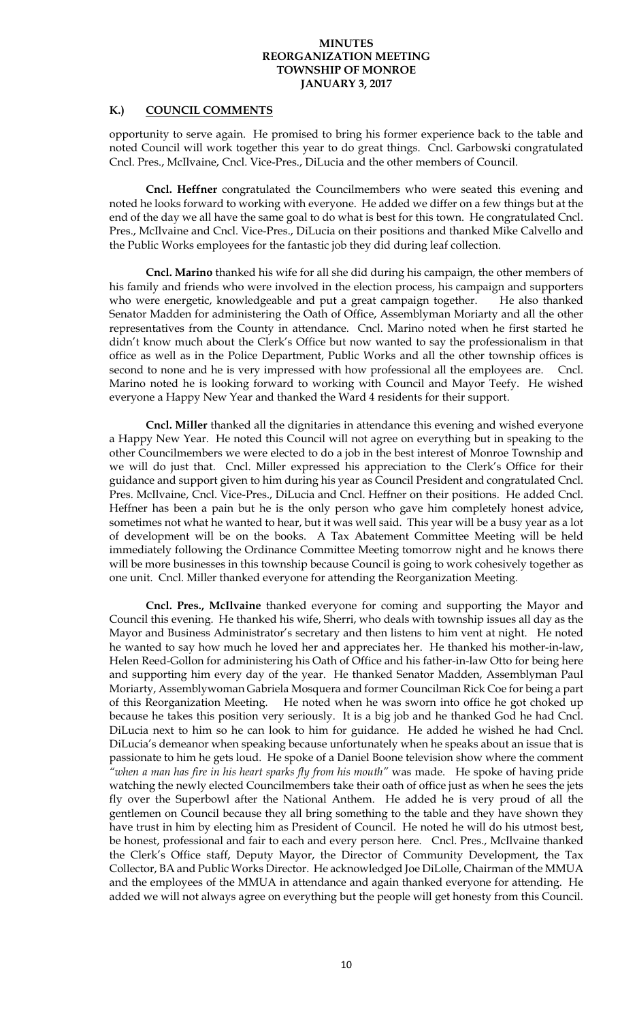## **K.) COUNCIL COMMENTS**

opportunity to serve again. He promised to bring his former experience back to the table and noted Council will work together this year to do great things. Cncl. Garbowski congratulated Cncl. Pres., McIlvaine, Cncl. Vice-Pres., DiLucia and the other members of Council.

**Cncl. Heffner** congratulated the Councilmembers who were seated this evening and noted he looks forward to working with everyone. He added we differ on a few things but at the end of the day we all have the same goal to do what is best for this town. He congratulated Cncl. Pres., McIlvaine and Cncl. Vice-Pres., DiLucia on their positions and thanked Mike Calvello and the Public Works employees for the fantastic job they did during leaf collection.

**Cncl. Marino** thanked his wife for all she did during his campaign, the other members of his family and friends who were involved in the election process, his campaign and supporters who were energetic, knowledgeable and put a great campaign together. He also thanked Senator Madden for administering the Oath of Office, Assemblyman Moriarty and all the other representatives from the County in attendance. Cncl. Marino noted when he first started he didn't know much about the Clerk's Office but now wanted to say the professionalism in that office as well as in the Police Department, Public Works and all the other township offices is second to none and he is very impressed with how professional all the employees are. Cncl. Marino noted he is looking forward to working with Council and Mayor Teefy. He wished everyone a Happy New Year and thanked the Ward 4 residents for their support.

**Cncl. Miller** thanked all the dignitaries in attendance this evening and wished everyone a Happy New Year. He noted this Council will not agree on everything but in speaking to the other Councilmembers we were elected to do a job in the best interest of Monroe Township and we will do just that. Cncl. Miller expressed his appreciation to the Clerk's Office for their guidance and support given to him during his year as Council President and congratulated Cncl. Pres. McIlvaine, Cncl. Vice-Pres., DiLucia and Cncl. Heffner on their positions. He added Cncl. Heffner has been a pain but he is the only person who gave him completely honest advice, sometimes not what he wanted to hear, but it was well said. This year will be a busy year as a lot of development will be on the books. A Tax Abatement Committee Meeting will be held immediately following the Ordinance Committee Meeting tomorrow night and he knows there will be more businesses in this township because Council is going to work cohesively together as one unit. Cncl. Miller thanked everyone for attending the Reorganization Meeting.

**Cncl. Pres., McIlvaine** thanked everyone for coming and supporting the Mayor and Council this evening. He thanked his wife, Sherri, who deals with township issues all day as the Mayor and Business Administrator's secretary and then listens to him vent at night. He noted he wanted to say how much he loved her and appreciates her. He thanked his mother-in-law, Helen Reed-Gollon for administering his Oath of Office and his father-in-law Otto for being here and supporting him every day of the year. He thanked Senator Madden, Assemblyman Paul Moriarty, Assemblywoman Gabriela Mosquera and former Councilman Rick Coe for being a part of this Reorganization Meeting. He noted when he was sworn into office he got choked up because he takes this position very seriously. It is a big job and he thanked God he had Cncl. DiLucia next to him so he can look to him for guidance. He added he wished he had Cncl. DiLucia's demeanor when speaking because unfortunately when he speaks about an issue that is passionate to him he gets loud. He spoke of a Daniel Boone television show where the comment *"when a man has fire in his heart sparks fly from his mouth"* was made. He spoke of having pride watching the newly elected Councilmembers take their oath of office just as when he sees the jets fly over the Superbowl after the National Anthem. He added he is very proud of all the gentlemen on Council because they all bring something to the table and they have shown they have trust in him by electing him as President of Council. He noted he will do his utmost best, be honest, professional and fair to each and every person here. Cncl. Pres., McIlvaine thanked the Clerk's Office staff, Deputy Mayor, the Director of Community Development, the Tax Collector, BA and Public Works Director. He acknowledged Joe DiLolle, Chairman of the MMUA and the employees of the MMUA in attendance and again thanked everyone for attending. He added we will not always agree on everything but the people will get honesty from this Council.